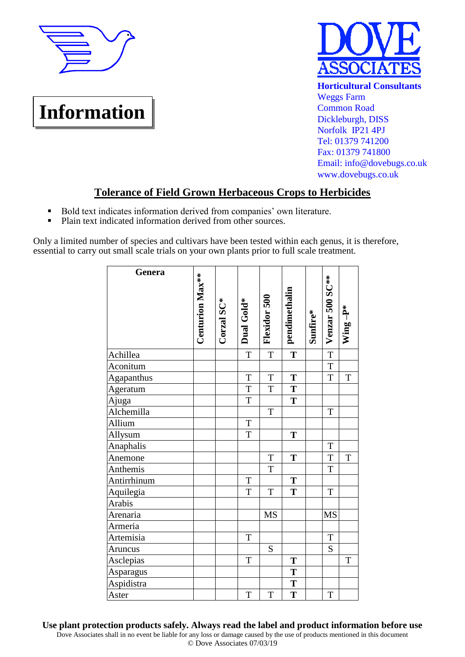

## **Information**



**Horticultural Consultants** Weggs Farm Common Road Dickleburgh, DISS Norfolk IP21 4PJ Tel: 01379 741200 Fax: 01379 741800 Email: info@dovebugs.co.uk www.dovebugs.co.uk

## **Tolerance of Field Grown Herbaceous Crops to Herbicides**

- Bold text indicates information derived from companies' own literature.
- Plain text indicated information derived from other sources.

Only a limited number of species and cultivars have been tested within each genus, it is therefore, essential to carry out small scale trials on your own plants prior to full scale treatment.

| Genera      | <b>Centurion Max**</b> | Corzal SC* | Dual Gold*     | Flexidor 500            | pendimethalin           | Sunfire* | Venzar 500 SC**         | Wing-P*     |
|-------------|------------------------|------------|----------------|-------------------------|-------------------------|----------|-------------------------|-------------|
| Achillea    |                        |            | $\mathbf T$    | $\overline{\mathrm{T}}$ | $\overline{\mathbf{T}}$ |          | $\overline{\mathrm{T}}$ |             |
| Aconitum    |                        |            |                |                         |                         |          | $\overline{T}$          |             |
| Agapanthus  |                        |            | $\mathbf T$    | T                       | T                       |          | $\mathbf T$             | T           |
| Ageratum    |                        |            | $\overline{T}$ | $\mathbf T$             | $\mathbf T$             |          |                         |             |
| Ajuga       |                        |            | $\mathbf T$    |                         | T                       |          |                         |             |
| Alchemilla  |                        |            |                | T                       |                         |          | T                       |             |
| Allium      |                        |            | $\mathbf T$    |                         |                         |          |                         |             |
| Allysum     |                        |            | $\mathbf T$    |                         | T                       |          |                         |             |
| Anaphalis   |                        |            |                |                         |                         |          | $\mathbf T$             |             |
| Anemone     |                        |            |                | $\mathbf T$             | T                       |          | $\overline{T}$          | $\mathbf T$ |
| Anthemis    |                        |            |                | $\mathbf T$             |                         |          | $\mathbf T$             |             |
| Antirrhinum |                        |            | $\mathbf T$    |                         | $\overline{\mathbf{T}}$ |          |                         |             |
| Aquilegia   |                        |            | $\rm T$        | T                       | $\overline{\mathbf{T}}$ |          | T                       |             |
| Arabis      |                        |            |                |                         |                         |          |                         |             |
| Arenaria    |                        |            |                | <b>MS</b>               |                         |          | <b>MS</b>               |             |
| Armeria     |                        |            |                |                         |                         |          |                         |             |
| Artemisia   |                        |            | $\mathbf T$    |                         |                         |          | $\mathbf T$             |             |
| Aruncus     |                        |            |                | S                       |                         |          | S                       |             |
| Asclepias   |                        |            | $\mathbf T$    |                         | T                       |          |                         | $\mathbf T$ |
| Asparagus   |                        |            |                |                         | T                       |          |                         |             |
| Aspidistra  |                        |            |                |                         | $\overline{\mathbf{T}}$ |          |                         |             |
| Aster       |                        |            | $\mathbf T$    | $\mathbf T$             | $\overline{\mathbf{T}}$ |          | T                       |             |

Dove Associates shall in no event be liable for any loss or damage caused by the use of products mentioned in this document © Dove Associates 07/03/19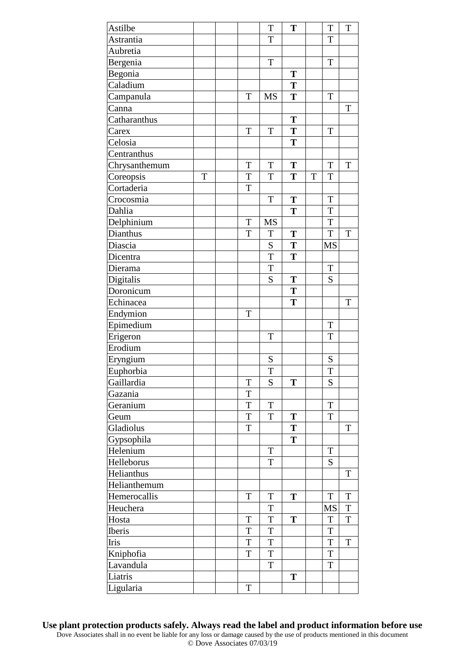| Astilbe       |   |                | $\mathbf T$ | T |   | T           | T              |
|---------------|---|----------------|-------------|---|---|-------------|----------------|
| Astrantia     |   |                | T           |   |   | T           |                |
| Aubretia      |   |                |             |   |   |             |                |
| Bergenia      |   |                | T           |   |   | $\rm T$     |                |
| Begonia       |   |                |             | T |   |             |                |
| Caladium      |   |                |             | T |   |             |                |
| Campanula     |   | T              | <b>MS</b>   | T |   | T           |                |
| Canna         |   |                |             |   |   |             | T              |
| Catharanthus  |   |                |             | T |   |             |                |
| Carex         |   | T              | T           | T |   | T           |                |
| Celosia       |   |                |             | T |   |             |                |
| Centranthus   |   |                |             |   |   |             |                |
| Chrysanthemum |   | T              | T           | T |   | T           | $\mathbf T$    |
| Coreopsis     | T | T              | $\mathbf T$ | T | T | $\rm T$     |                |
| Cortaderia    |   | T              |             |   |   |             |                |
| Crocosmia     |   |                | $\mathbf T$ | T |   | T           |                |
| Dahlia        |   |                |             | T |   | T           |                |
| Delphinium    |   | T              | <b>MS</b>   |   |   | T           |                |
| Dianthus      |   | T              | $\mathbf T$ | T |   | T           | $\mathbf T$    |
| Diascia       |   |                | ${\bf S}$   | T |   | <b>MS</b>   |                |
| Dicentra      |   |                | $\mathbf T$ | T |   |             |                |
| Dierama       |   |                | $\mathbf T$ |   |   | $\mathbf T$ |                |
| Digitalis     |   |                | S           | T |   | S           |                |
| Doronicum     |   |                |             | T |   |             |                |
| Echinacea     |   |                |             | T |   |             | T              |
| Endymion      |   | T              |             |   |   |             |                |
| Epimedium     |   |                |             |   |   | $\mathbf T$ |                |
| Erigeron      |   |                | T           |   |   | T           |                |
| Erodium       |   |                |             |   |   |             |                |
| Eryngium      |   |                | ${\bf S}$   |   |   | S           |                |
| Euphorbia     |   |                | T           |   |   | T           |                |
| Gaillardia    |   | T              | S           | T |   | S           |                |
| Gazania       |   | T              |             |   |   |             |                |
| Geranium      |   | $\overline{T}$ | T           |   |   | T           |                |
| Geum          |   | $\mathbf T$    | $\mathbf T$ | T |   | $\mathbf T$ |                |
| Gladiolus     |   | $\mathbf T$    |             | T |   |             | $\mathbf T$    |
| Gypsophila    |   |                |             | T |   |             |                |
| Helenium      |   |                | T           |   |   | T           |                |
| Helleborus    |   |                | T           |   |   | ${\bf S}$   |                |
| Helianthus    |   |                |             |   |   |             | T              |
| Helianthemum  |   |                |             |   |   |             |                |
| Hemerocallis  |   | T              | T           | T |   | T           | T              |
| Heuchera      |   |                | T           |   |   | <b>MS</b>   | $\overline{T}$ |
| Hosta         |   | T              | $\mathbf T$ | T |   | T           | $\rm T$        |
| Iberis        |   | $\mathbf T$    | T           |   |   | $\mathbf T$ |                |
| Iris          |   | $\mathbf T$    | $\mathbf T$ |   |   | T           | $\mathbf T$    |
| Kniphofia     |   | $\mathbf T$    | T           |   |   | $\mathbf T$ |                |
| Lavandula     |   |                | $\mathbf T$ |   |   | $\mathbf T$ |                |
| Liatris       |   |                |             | T |   |             |                |
| Ligularia     |   | T              |             |   |   |             |                |
|               |   |                |             |   |   |             |                |

**Use plant protection products safely. Always read the label and product information before use** Dove Associates shall in no event be liable for any loss or damage caused by the use of products mentioned in this document © Dove Associates 07/03/19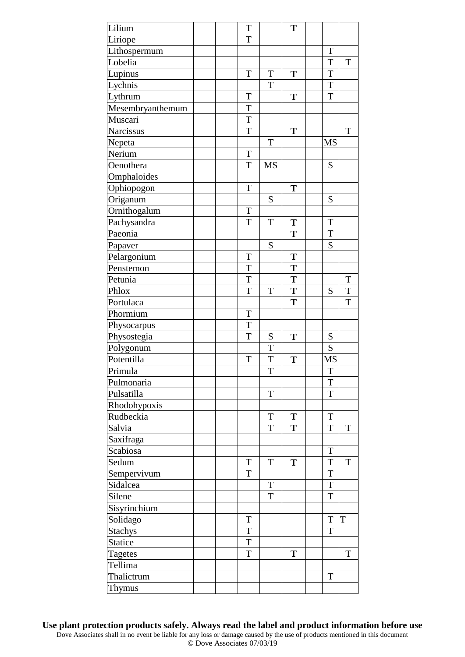| Lilium           | T |             | T |             |             |
|------------------|---|-------------|---|-------------|-------------|
| Liriope          | T |             |   |             |             |
| Lithospermum     |   |             |   | T           |             |
| Lobelia          |   |             |   | T           | T           |
| Lupinus          | T | T           | T | T           |             |
| Lychnis          |   | T           |   | T           |             |
| Lythrum          | T |             | T | T           |             |
| Mesembryanthemum | T |             |   |             |             |
| Muscari          | T |             |   |             |             |
| Narcissus        | T |             | T |             | $\mathbf T$ |
| Nepeta           |   | T           |   | <b>MS</b>   |             |
| Nerium           | T |             |   |             |             |
| Oenothera        | T | <b>MS</b>   |   | S           |             |
| Omphaloides      |   |             |   |             |             |
| Ophiopogon       | T |             | T |             |             |
| Origanum         |   | S           |   | S           |             |
| Ornithogalum     | T |             |   |             |             |
| Pachysandra      | T | T           | T | T           |             |
| Paeonia          |   |             | T | T           |             |
| Papaver          |   | S           |   | S           |             |
| Pelargonium      | T |             | T |             |             |
| Penstemon        | T |             | T |             |             |
| Petunia          | T |             | T |             | $\mathbf T$ |
| Phlox            | T | T           | T | S           | $\mathbf T$ |
| Portulaca        |   |             | T |             | T           |
| Phormium         | T |             |   |             |             |
| Physocarpus      | T |             |   |             |             |
| Physostegia      | T | S           | T | ${\bf S}$   |             |
| Polygonum        |   | T           |   | S           |             |
| Potentilla       | T | T           | T | MS          |             |
| Primula          |   | $\mathbf T$ |   | $\mathbf T$ |             |
| Pulmonaria       |   |             |   | T           |             |
| Pulsatilla       |   | $\mathbf T$ |   | T           |             |
| Rhodohypoxis     |   |             |   |             |             |
| Rudbeckia        |   | $\mathbf T$ | T | T           |             |
| Salvia           |   | T           | T | T           | T           |
| Saxifraga        |   |             |   |             |             |
| Scabiosa         |   |             |   | T           |             |
| Sedum            | T | T           | T | T           | T           |
| Sempervivum      | T |             |   | T           |             |
| Sidalcea         |   | T           |   | T           |             |
| Silene           |   | $\mathbf T$ |   | T           |             |
| Sisyrinchium     |   |             |   |             |             |
| Solidago         | T |             |   | T           | T           |
| <b>Stachys</b>   | T |             |   | T           |             |
| Statice          | T |             |   |             |             |
| <b>Tagetes</b>   | T |             | T |             | T           |
| Tellima          |   |             |   |             |             |
| Thalictrum       |   |             |   | T           |             |
| <b>Thymus</b>    |   |             |   |             |             |

**Use plant protection products safely. Always read the label and product information before use** Dove Associates shall in no event be liable for any loss or damage caused by the use of products mentioned in this document © Dove Associates 07/03/19